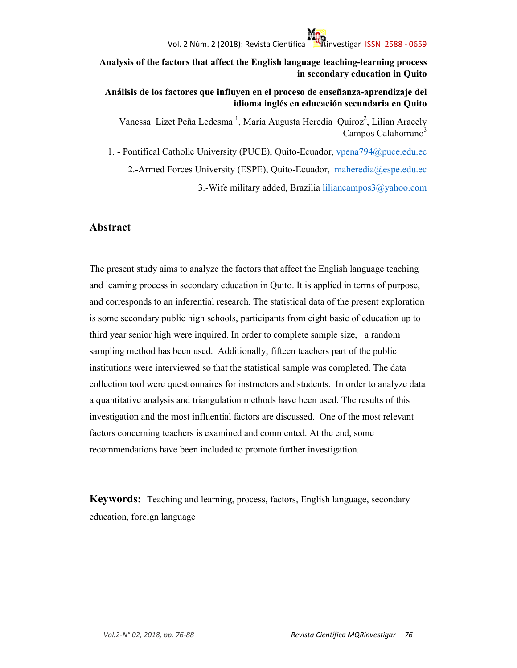**Analysis of the factors that affect the English language teaching-learning process in secondary education in Quito** 

**Análisis de los factores que influyen en el proceso de enseñanza-aprendizaje del idioma inglés en educación secundaria en Quito** 

Vanessa Lizet Peña Ledesma<sup>1</sup>, María Augusta Heredia Quiroz<sup>2</sup>, Lilian Aracely Campos Calahorrano<sup>3</sup>

1. - Pontifical Catholic University (PUCE), Quito-Ecuador, vpena794@puce.edu.ec 2.-Armed Forces University (ESPE), Quito-Ecuador, maheredia@espe.edu.ec 3.-Wife military added, Brazilia liliancampos3@yahoo.com

### **Abstract**

The present study aims to analyze the factors that affect the English language teaching and learning process in secondary education in Quito. It is applied in terms of purpose, and corresponds to an inferential research. The statistical data of the present exploration is some secondary public high schools, participants from eight basic of education up to third year senior high were inquired. In order to complete sample size, a random sampling method has been used. Additionally, fifteen teachers part of the public institutions were interviewed so that the statistical sample was completed. The data collection tool were questionnaires for instructors and students. In order to analyze data a quantitative analysis and triangulation methods have been used. The results of this investigation and the most influential factors are discussed. One of the most relevant factors concerning teachers is examined and commented. At the end, some recommendations have been included to promote further investigation.

**Keywords:** Teaching and learning, process, factors, English language, secondary education, foreign language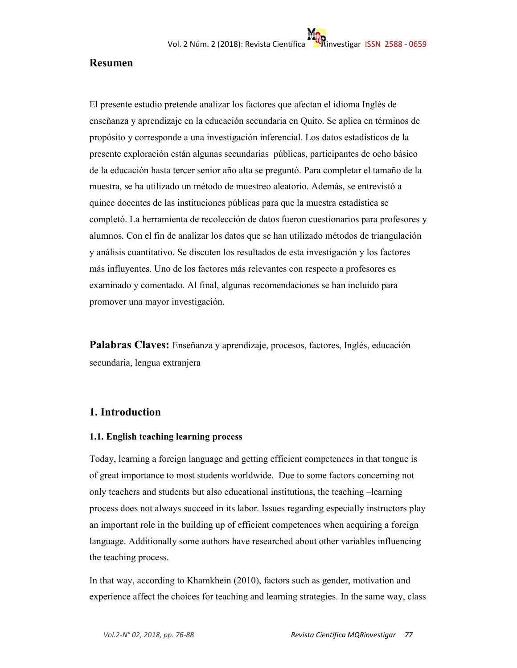### **Resumen**

El presente estudio pretende analizar los factores que afectan el idioma Inglés de enseñanza y aprendizaje en la educación secundaria en Quito. Se aplica en términos de propósito y corresponde a una investigación inferencial. Los datos estadísticos de la presente exploración están algunas secundarias públicas, participantes de ocho básico de la educación hasta tercer senior año alta se preguntó. Para completar el tamaño de la muestra, se ha utilizado un método de muestreo aleatorio. Además, se entrevistó a quince docentes de las instituciones públicas para que la muestra estadística se completó. La herramienta de recolección de datos fueron cuestionarios para profesores y alumnos. Con el fin de analizar los datos que se han utilizado métodos de triangulación y análisis cuantitativo. Se discuten los resultados de esta investigación y los factores más influyentes. Uno de los factores más relevantes con respecto a profesores es examinado y comentado. Al final, algunas recomendaciones se han incluido para promover una mayor investigación.

**Palabras Claves:** Enseñanza y aprendizaje, procesos, factores, Inglés, educación secundaria, lengua extranjera

## **1. Introduction**

#### **1.1. English teaching learning process**

Today, learning a foreign language and getting efficient competences in that tongue is of great importance to most students worldwide. Due to some factors concerning not only teachers and students but also educational institutions, the teaching –learning process does not always succeed in its labor. Issues regarding especially instructors play an important role in the building up of efficient competences when acquiring a foreign language. Additionally some authors have researched about other variables influencing the teaching process.

In that way, according to Khamkhein (2010), factors such as gender, motivation and experience affect the choices for teaching and learning strategies. In the same way, class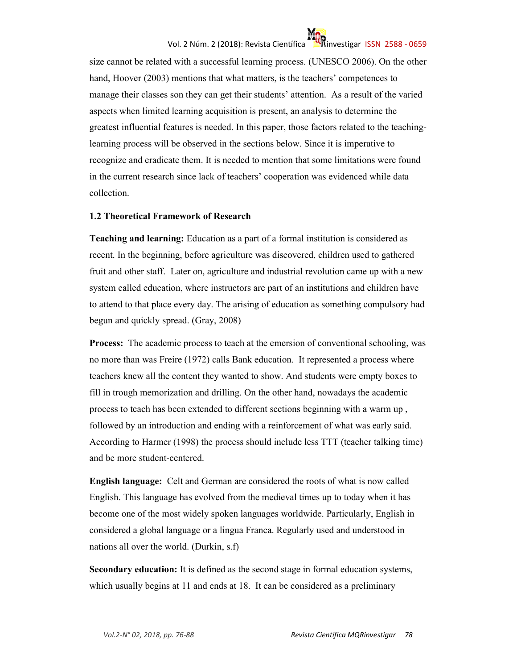# Vol. 2 Núm. 2 (2018): Revista Científica investigar ISSN 2588 - 0659



size cannot be related with a successful learning process. (UNESCO 2006). On the other hand, Hoover (2003) mentions that what matters, is the teachers' competences to manage their classes son they can get their students' attention. As a result of the varied aspects when limited learning acquisition is present, an analysis to determine the greatest influential features is needed. In this paper, those factors related to the teachinglearning process will be observed in the sections below. Since it is imperative to recognize and eradicate them. It is needed to mention that some limitations were found in the current research since lack of teachers' cooperation was evidenced while data collection.

#### **1.2 Theoretical Framework of Research**

**Teaching and learning:** Education as a part of a formal institution is considered as recent. In the beginning, before agriculture was discovered, children used to gathered fruit and other staff. Later on, agriculture and industrial revolution came up with a new system called education, where instructors are part of an institutions and children have to attend to that place every day. The arising of education as something compulsory had begun and quickly spread. (Gray, 2008)

**Process:** The academic process to teach at the emersion of conventional schooling, was no more than was Freire (1972) calls Bank education. It represented a process where teachers knew all the content they wanted to show. And students were empty boxes to fill in trough memorization and drilling. On the other hand, nowadays the academic process to teach has been extended to different sections beginning with a warm up , followed by an introduction and ending with a reinforcement of what was early said. According to Harmer (1998) the process should include less TTT (teacher talking time) and be more student-centered.

**English language:** Celt and German are considered the roots of what is now called English. This language has evolved from the medieval times up to today when it has become one of the most widely spoken languages worldwide. Particularly, English in considered a global language or a lingua Franca. Regularly used and understood in nations all over the world. (Durkin, s.f)

**Secondary education:** It is defined as the second stage in formal education systems, which usually begins at 11 and ends at 18. It can be considered as a preliminary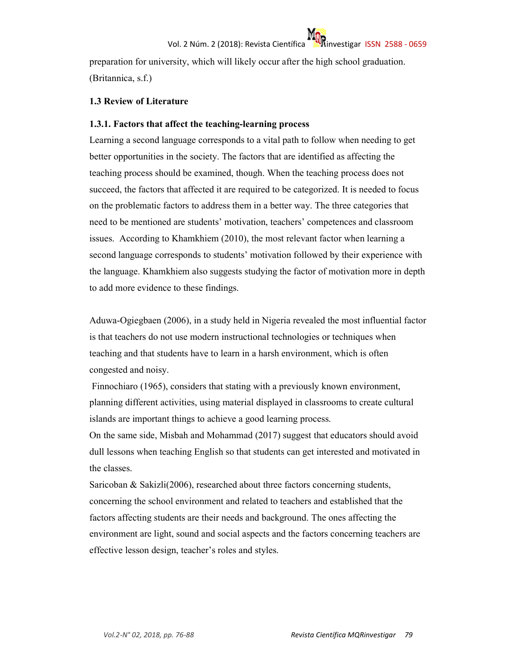preparation for university, which will likely occur after the high school graduation. (Britannica, s.f.)

#### **1.3 Review of Literature**

#### **1.3.1. Factors that affect the teaching-learning process**

Learning a second language corresponds to a vital path to follow when needing to get better opportunities in the society. The factors that are identified as affecting the teaching process should be examined, though. When the teaching process does not succeed, the factors that affected it are required to be categorized. It is needed to focus on the problematic factors to address them in a better way. The three categories that need to be mentioned are students' motivation, teachers' competences and classroom issues. According to Khamkhiem (2010), the most relevant factor when learning a second language corresponds to students' motivation followed by their experience with the language. Khamkhiem also suggests studying the factor of motivation more in depth to add more evidence to these findings.

Aduwa-Ogiegbaen (2006), in a study held in Nigeria revealed the most influential factor is that teachers do not use modern instructional technologies or techniques when teaching and that students have to learn in a harsh environment, which is often congested and noisy.

 Finnochiaro (1965), considers that stating with a previously known environment, planning different activities, using material displayed in classrooms to create cultural islands are important things to achieve a good learning process.

On the same side, Misbah and Mohammad (2017) suggest that educators should avoid dull lessons when teaching English so that students can get interested and motivated in the classes.

Saricoban & Sakizli(2006), researched about three factors concerning students, concerning the school environment and related to teachers and established that the factors affecting students are their needs and background. The ones affecting the environment are light, sound and social aspects and the factors concerning teachers are effective lesson design, teacher's roles and styles.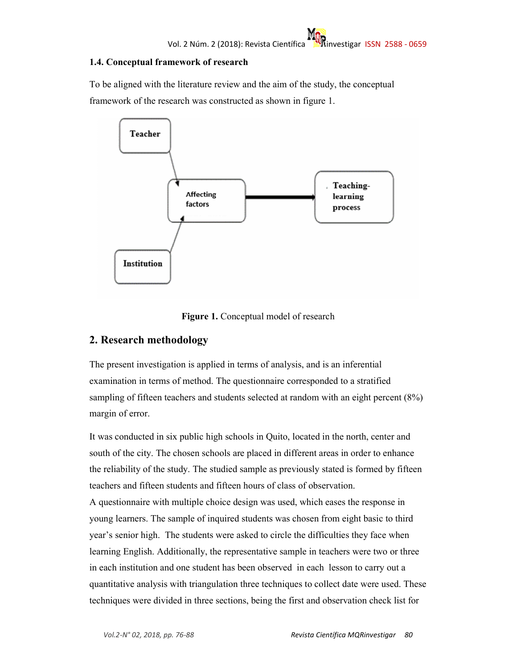### **1.4. Conceptual framework of research**

To be aligned with the literature review and the aim of the study, the conceptual framework of the research was constructed as shown in figure 1.



**Figure 1.** Conceptual model of research

## **2. Research methodology**

The present investigation is applied in terms of analysis, and is an inferential examination in terms of method. The questionnaire corresponded to a stratified sampling of fifteen teachers and students selected at random with an eight percent (8%) margin of error.

It was conducted in six public high schools in Quito, located in the north, center and south of the city. The chosen schools are placed in different areas in order to enhance the reliability of the study. The studied sample as previously stated is formed by fifteen teachers and fifteen students and fifteen hours of class of observation. A questionnaire with multiple choice design was used, which eases the response in young learners. The sample of inquired students was chosen from eight basic to third year's senior high. The students were asked to circle the difficulties they face when learning English. Additionally, the representative sample in teachers were two or three in each institution and one student has been observed in each lesson to carry out a quantitative analysis with triangulation three techniques to collect date were used. These techniques were divided in three sections, being the first and observation check list for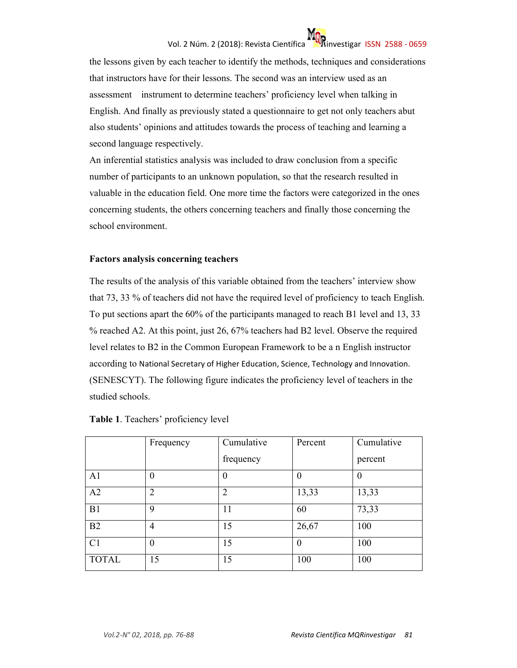# Vol. 2 Núm. 2 (2018): Revista Científica investigar ISSN 2588 - 0659



the lessons given by each teacher to identify the methods, techniques and considerations that instructors have for their lessons. The second was an interview used as an assessment instrument to determine teachers' proficiency level when talking in English. And finally as previously stated a questionnaire to get not only teachers abut also students' opinions and attitudes towards the process of teaching and learning a second language respectively.

An inferential statistics analysis was included to draw conclusion from a specific number of participants to an unknown population, so that the research resulted in valuable in the education field. One more time the factors were categorized in the ones concerning students, the others concerning teachers and finally those concerning the school environment.

#### **Factors analysis concerning teachers**

The results of the analysis of this variable obtained from the teachers' interview show that 73, 33 % of teachers did not have the required level of proficiency to teach English. To put sections apart the 60% of the participants managed to reach B1 level and 13, 33 % reached A2. At this point, just 26, 67% teachers had B2 level. Observe the required level relates to B2 in the Common European Framework to be a n English instructor according to National Secretary of Higher Education, Science, Technology and Innovation. (SENESCYT). The following figure indicates the proficiency level of teachers in the studied schools.

|                | Frequency      | Cumulative | Percent        | Cumulative |
|----------------|----------------|------------|----------------|------------|
|                |                | frequency  |                | percent    |
| A <sub>1</sub> | $\theta$       | 0          | $\overline{0}$ |            |
| A2             | $\overline{2}$ | 2          | 13,33          | 13,33      |
| B1             | 9              | 11         | 60             | 73,33      |
| B2             | 4              | 15         | 26,67          | 100        |
| C <sub>1</sub> | $\overline{0}$ | 15         | $\theta$       | 100        |
| <b>TOTAL</b>   | 15             | 15         | 100            | 100        |

|  |  | Table 1. Teachers' proficiency level |
|--|--|--------------------------------------|
|--|--|--------------------------------------|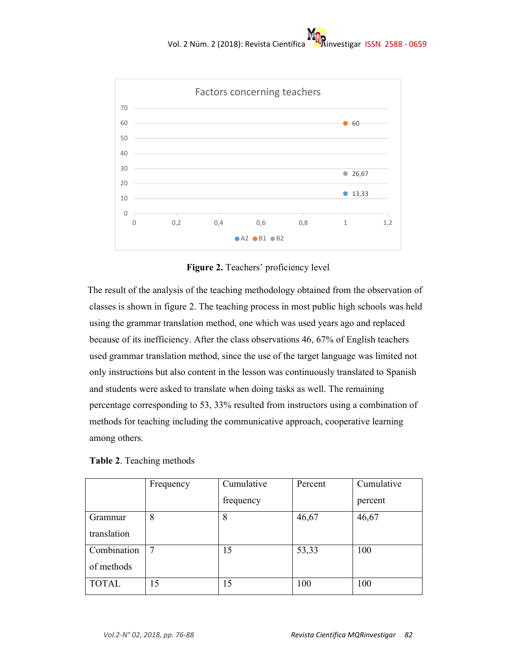

**Figure 2.** Teachers' proficiency level

 The result of the analysis of the teaching methodology obtained from the observation of classes is shown in figure 2. The teaching process in most public high schools was held using the grammar translation method, one which was used years ago and replaced because of its inefficiency. After the class observations 46, 67% of English teachers used grammar translation method, since the use of the target language was limited not only instructions but also content in the lesson was continuously translated to Spanish and students were asked to translate when doing tasks as well. The remaining percentage corresponding to 53, 33% resulted from instructors using a combination of methods for teaching including the communicative approach, cooperative learning among others.

|  | <b>Table 2.</b> Teaching methods |  |
|--|----------------------------------|--|
|--|----------------------------------|--|

|              | Frequency | Cumulative | Percent | Cumulative |
|--------------|-----------|------------|---------|------------|
|              |           | frequency  |         | percent    |
| Grammar      | 8         | 8          | 46,67   | 46,67      |
| translation  |           |            |         |            |
| Combination  |           | 15         | 53,33   | 100        |
| of methods   |           |            |         |            |
| <b>TOTAL</b> | 15        | 15         | 100     | 100        |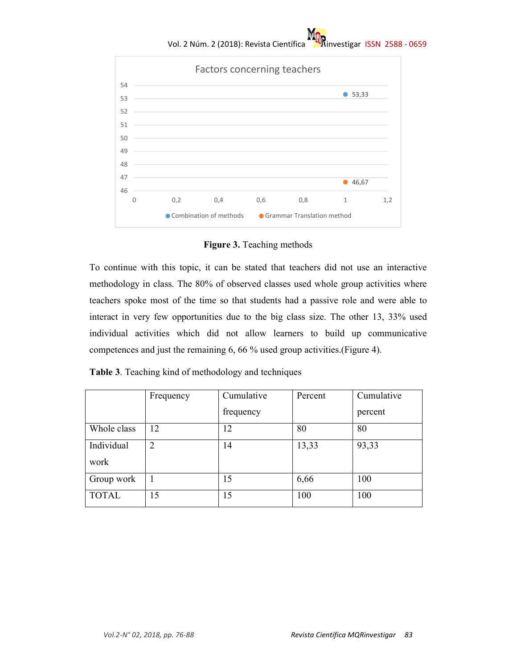# Vol. 2 Núm. 2 (2018): Revista Científica **instrumenta investigar ISSN 2588 - 0659**



**Figure 3.** Teaching methods

To continue with this topic, it can be stated that teachers did not use an interactive methodology in class. The 80% of observed classes used whole group activities where teachers spoke most of the time so that students had a passive role and were able to interact in very few opportunities due to the big class size. The other 13, 33% used individual activities which did not allow learners to build up communicative competences and just the remaining 6, 66 % used group activities.(Figure 4).

|  |  |  |  | Table 3. Teaching kind of methodology and techniques |
|--|--|--|--|------------------------------------------------------|
|--|--|--|--|------------------------------------------------------|

|              | Frequency      | Cumulative | Percent | Cumulative |
|--------------|----------------|------------|---------|------------|
|              |                | frequency  |         | percent    |
| Whole class  | 12             | 12         | 80      | 80         |
| Individual   | $\overline{2}$ | 14         | 13,33   | 93,33      |
| work         |                |            |         |            |
| Group work   |                | 15         | 6,66    | 100        |
| <b>TOTAL</b> | 15             | 15         | 100     | 100        |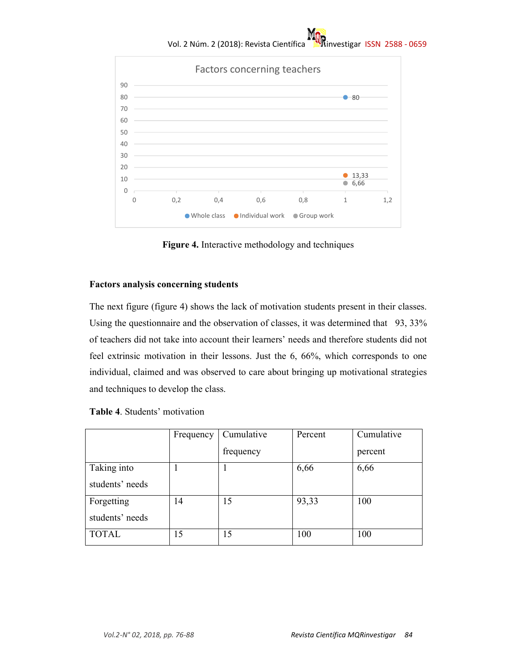# Vol. 2 Núm. 2 (2018): Revista Científica **instrumenta investigar ISSN 2588 - 0659**



**Figure 4.** Interactive methodology and techniques

#### **Factors analysis concerning students**

The next figure (figure 4) shows the lack of motivation students present in their classes. Using the questionnaire and the observation of classes, it was determined that 93, 33% of teachers did not take into account their learners' needs and therefore students did not feel extrinsic motivation in their lessons. Just the 6, 66%, which corresponds to one individual, claimed and was observed to care about bringing up motivational strategies and techniques to develop the class.

|                 | Frequency | Cumulative | Percent | Cumulative |
|-----------------|-----------|------------|---------|------------|
|                 |           | frequency  |         | percent    |
| Taking into     |           |            | 6,66    | 6,66       |
| students' needs |           |            |         |            |
| Forgetting      | 14        | 15         | 93,33   | 100        |
| students' needs |           |            |         |            |
| <b>TOTAL</b>    | l5        | 15         | 100     | 100        |

|  |  | Table 4. Students' motivation |
|--|--|-------------------------------|
|--|--|-------------------------------|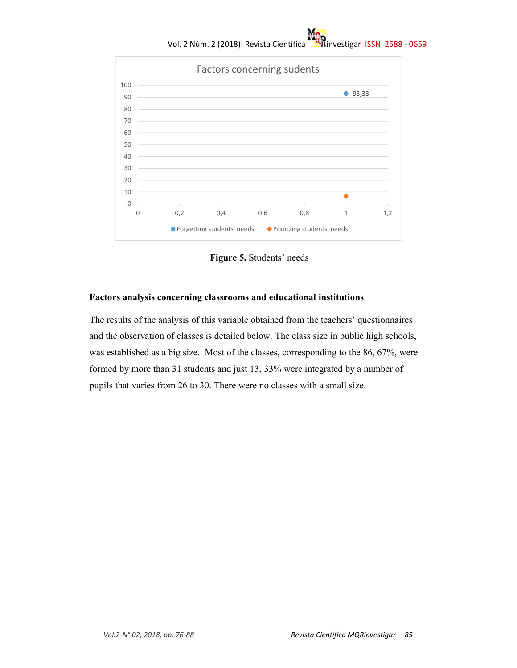# Vol. 2 Núm. 2 (2018): Revista Científica **investigar ISSN 2588 - 0659**



 **Figure 5.** Students' needs

#### **Factors analysis concerning classrooms and educational institutions**

The results of the analysis of this variable obtained from the teachers' questionnaires and the observation of classes is detailed below. The class size in public high schools, was established as a big size. Most of the classes, corresponding to the 86, 67%, were formed by more than 31 students and just 13, 33% were integrated by a number of pupils that varies from 26 to 30. There were no classes with a small size.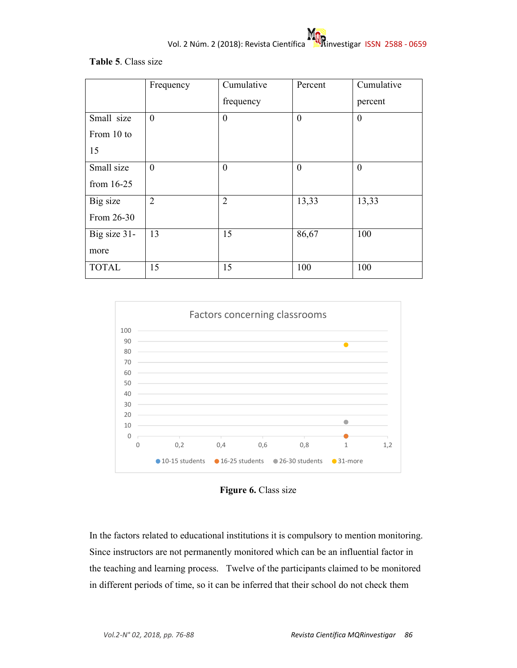

### **Table 5**. Class size

|              | Frequency      | Cumulative     | Percent      | Cumulative     |
|--------------|----------------|----------------|--------------|----------------|
|              |                | frequency      |              | percent        |
| Small size   | $\overline{0}$ | $\overline{0}$ | $\mathbf{0}$ | $\overline{0}$ |
| From 10 to   |                |                |              |                |
| 15           |                |                |              |                |
| Small size   | $\overline{0}$ | $\overline{0}$ | $\mathbf{0}$ | $\overline{0}$ |
| from $16-25$ |                |                |              |                |
| Big size     | $\overline{2}$ | $\overline{2}$ | 13,33        | 13,33          |
| From 26-30   |                |                |              |                |
| Big size 31- | 13             | 15             | 86,67        | 100            |
| more         |                |                |              |                |
| <b>TOTAL</b> | 15             | 15             | 100          | 100            |



Figure 6. Class size

In the factors related to educational institutions it is compulsory to mention monitoring. Since instructors are not permanently monitored which can be an influential factor in the teaching and learning process. Twelve of the participants claimed to be monitored in different periods of time, so it can be inferred that their school do not check them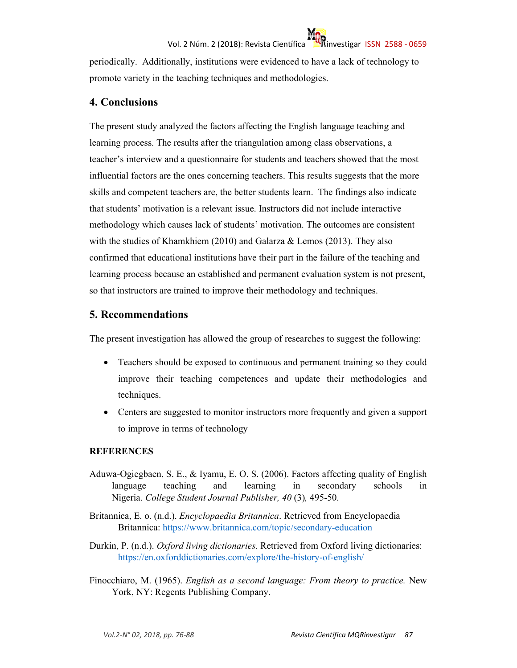

periodically. Additionally, institutions were evidenced to have a lack of technology to promote variety in the teaching techniques and methodologies.

## **4. Conclusions**

The present study analyzed the factors affecting the English language teaching and learning process. The results after the triangulation among class observations, a teacher's interview and a questionnaire for students and teachers showed that the most influential factors are the ones concerning teachers. This results suggests that the more skills and competent teachers are, the better students learn. The findings also indicate that students' motivation is a relevant issue. Instructors did not include interactive methodology which causes lack of students' motivation. The outcomes are consistent with the studies of Khamkhiem (2010) and Galarza & Lemos (2013). They also confirmed that educational institutions have their part in the failure of the teaching and learning process because an established and permanent evaluation system is not present, so that instructors are trained to improve their methodology and techniques.

## **5. Recommendations**

The present investigation has allowed the group of researches to suggest the following:

- Teachers should be exposed to continuous and permanent training so they could improve their teaching competences and update their methodologies and techniques.
- Centers are suggested to monitor instructors more frequently and given a support to improve in terms of technology

### **REFERENCES**

- Aduwa-Ogiegbaen, S. E., & Iyamu, E. O. S. (2006). Factors affecting quality of English language teaching and learning in secondary schools in Nigeria. *College Student Journal Publisher, 40* (3)*,* 495-50.
- Britannica, E. o. (n.d.). *Encyclopaedia Britannica*. Retrieved from Encyclopaedia Britannica: https://www.britannica.com/topic/secondary-education
- Durkin, P. (n.d.). *Oxford living dictionaries*. Retrieved from Oxford living dictionaries: https://en.oxforddictionaries.com/explore/the-history-of-english/
- Finocchiaro, M. (1965). *English as a second language: From theory to practice.* New York, NY: Regents Publishing Company.